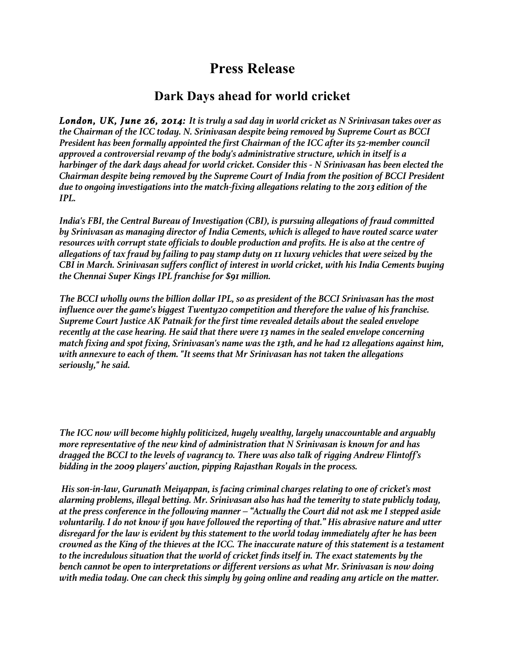## **Press Release**

## **Dark Days ahead for world cricket**

*London, UK, June 26, 2014: It is truly a sad day in world cricket as N Srinivasan takes over as the Chairman of the ICC today. N. Srinivasan despite being removed by Supreme Court as BCCI President has been formally appointed the first Chairman of the ICC after its 52-member council approved a controversial revamp of the body's administrative structure, which in itself is a harbinger of the dark days ahead for world cricket. Consider this - N Srinivasan has been elected the Chairman despite being removed by the Supreme Court of India from the position of BCCI President due to ongoing investigations into the match-fixing allegations relating to the 2013 edition of the IPL.*

*India's FBI, the Central Bureau of Investigation (CBI), is pursuing allegations of fraud committed by Srinivasan as managing director of India Cements, which is alleged to have routed scarce water resources with corrupt state officials to double production and profits. He is also at the centre of allegations of tax fraud by failing to pay stamp duty on 11 luxury vehicles that were seized by the CBI in March. Srinivasan suffers conflict of interest in world cricket, with his India Cements buying the Chennai Super Kings IPL franchise for \$91 million.*

*The BCCI wholly owns the billion dollar IPL, so as president of the BCCI Srinivasan has the most influence over the game's biggest Twenty20 competition and therefore the value of his franchise. Supreme Court Justice AK Patnaik for the first time revealed details about the sealed envelope recently at the case hearing. He said that there were 13 names in the sealed envelope concerning match fixing and spot fixing, Srinivasan's name was the 13th, and he had 12 allegations against him, with annexure to each of them. "It seems that Mr Srinivasan has not taken the allegations seriously," he said.*

*The ICC now will become highly politicized, hugely wealthy, largely unaccountable and arguably more representative of the new kind of administration that N Srinivasan is known for and has dragged the BCCI to the levels of vagrancy to. There was also talk of rigging Andrew Flintoff's bidding in the 2009 players' auction, pipping Rajasthan Royals in the process.*

*His son-in-law, Gurunath Meiyappan, is facing criminal charges relating to one of cricket's most alarming problems, illegal betting. Mr. Srinivasan also has had the temerity to state publicly today, at the press conference in the following manner – "Actually the Court did not ask me I stepped aside voluntarily. I do not know if you have followed the reporting of that." His abrasive nature and utter disregard for the law is evident by this statement to the world today immediately after he has been crowned as the King of the thieves at the ICC. The inaccurate nature of this statement is a testament to the incredulous situation that the world of cricket finds itself in. The exact statements by the bench cannot be open to interpretations or different versions as what Mr. Srinivasan is now doing with media today. One can check this simply by going online and reading any article on the matter.*